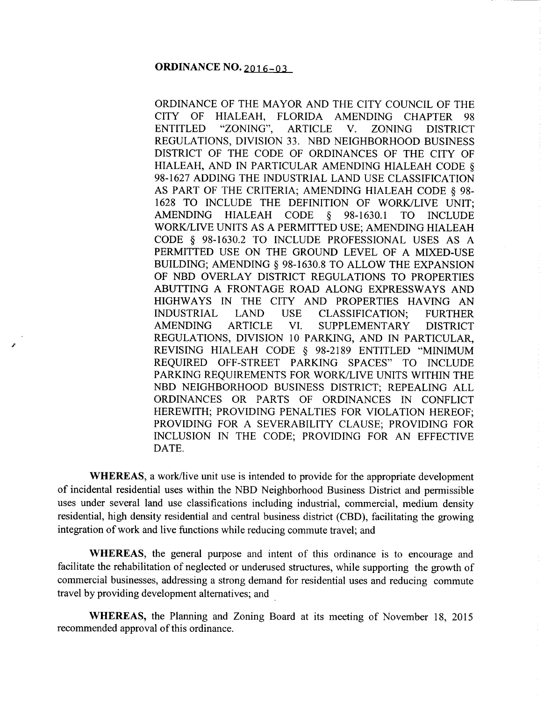## **ORDINANCE NO. 2016-03**

ORDINANCE OF THE MAYOR AND THE CITY COUNCIL OF THE CITY OF HIALEAH, FLORIDA AMENDING CHAPTER 98 ENTITLED "ZONING", ARTICLE V. ZONING DISTRICT REGULATIONS, DIVISION 33. NBD NEIGHBORHOOD BUSINESS DISTRICT OF THE CODE OF ORDINANCES OF THE CITY OF HIALEAH, AND IN PARTICULAR AMENDING HIALEAH CODE§ 98-1627 ADDING THE INDUSTRIAL LAND USE CLASSIFICATION AS PART OF THE CRITERIA; AMENDING HIALEAH CODE § 98- 1628 TO INCLUDE THE DEFINITION OF WORK/LIVE UNIT; AMENDING HIALEAH CODE § 98-1630.1 TO INCLUDE WORK/LIVE UNITS AS A PERMITTED USE; AMENDING HIALEAH CODE § 98-1630.2 TO INCLUDE PROFESSIONAL USES AS A PERMITTED USE ON THE GROUND LEVEL OF A MIXED-USE BUILDING; AMENDING§ 98-1630.8 TO ALLOW THE EXPANSION OF NBD OVERLAY DISTRICT REGULATIONS TO PROPERTIES ABUTTING A FRONTAGE ROAD ALONG EXPRESSWAYS AND HIGHWAYS IN THE CITY AND PROPERTIES HAVING AN INDUSTRIAL LAND USE CLASSIFICATION; FURTHER AMENDING ARTICLE VI. SUPPLEMENTARY DISTRICT REGULATIONS, DIVISION 10 PARKING, AND IN PARTICULAR, REVISING HIALEAH CODE § 98-2189 ENTITLED "MINIMUM REQUIRED OFF-STREET PARKING SPACES" TO INCLUDE PARKING REQUIREMENTS FOR WORK/LIVE UNITS WITHIN THE NBD NEIGHBORHOOD BUSINESS DISTRICT; REPEALING ALL ORDINANCES OR PARTS OF ORDINANCES IN CONFLICT HEREWITH; PROVIDING PENALTIES FOR VIOLATION HEREOF; PROVIDING FOR A SEVERABILITY CLAUSE; PROVIDING FOR INCLUSION IN THE CODE; PROVIDING FOR AN EFFECTIVE DATE.

**WHEREAS,** a work/live unit use is intended to provide for the appropriate development of incidental residential uses within the NBD Neighborhood Business District and permissible uses under several land use classifications including industrial, commercial, medium density residential, high density residential and central business district (CBD), facilitating the growing integration of work and live functions while reducing commute travel; and

**WHEREAS,** the general purpose and intent of this ordinance is to encourage and facilitate the rehabilitation of neglected or underused structures, while supporting the growth of commercial businesses, addressing a strong demand for residential uses and reducing commute travel by providing development alternatives; and

**WHEREAS,** the Planning and Zoning Board at its meeting of November 18, 2015 recommended approval of this ordinance.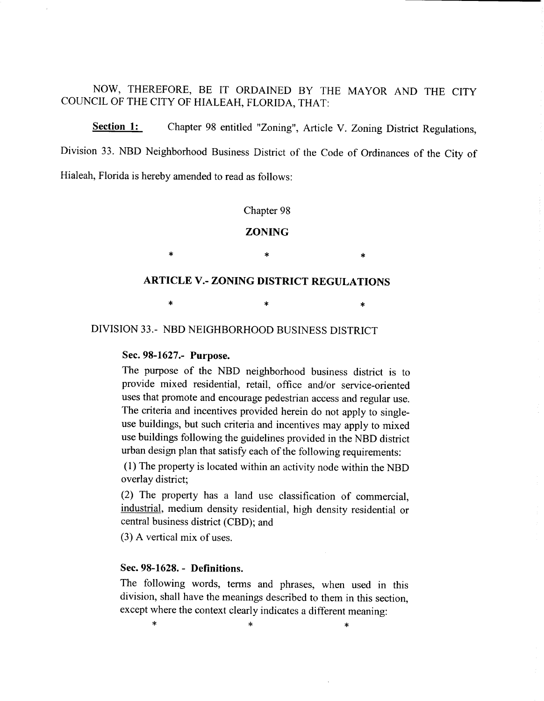NOW, THEREFORE, BE IT ORDAINED BY THE MAYOR AND THE CITY COUNCIL OF THE CITY OF HIALEAH, FLORIDA, THAT:

**Section 1:** Chapter 98 entitled "Zoning", Article V. Zoning District Regulations, Division 33. NBD Neighborhood Business District of the Code of Ordinances of the City of Hialeah, Florida is hereby amended to read as follows:

#### Chapter 98

#### **ZONING**

# **ARTICLE** V.- **ZONING DISTRICT REGULATIONS**

 $*$  \*  $*$  \*

 $*$  \*  $*$  \*  $*$ 

DIVISION 33.- NBD NEIGHBORHOOD BUSINESS DISTRICT

## Sec. **98-1627.- Purpose.**

The purpose of the NBD neighborhood business district is to provide mixed residential, retail, office and/or service-oriented uses that promote and encourage pedestrian access and regular use. The criteria and incentives provided herein do not apply to singleuse buildings, but such criteria and incentives may apply to mixed use buildings following the guidelines provided in the NBD district urban design plan that satisfy each of the following requirements:

(1) The property is located within an activity node within the NBD overlay district;

(2) The property has a land use classification of commercial, industrial, medium density residential, high density residential or central business district (CBD); and

(3) A vertical mix of uses.

## Sec. **98-1628.- Definitions.**

The following words, terms and phrases, when used in this division, shall have the meanings described to them in this section, except where the context clearly indicates a different meaning:

 $*$   $*$   $*$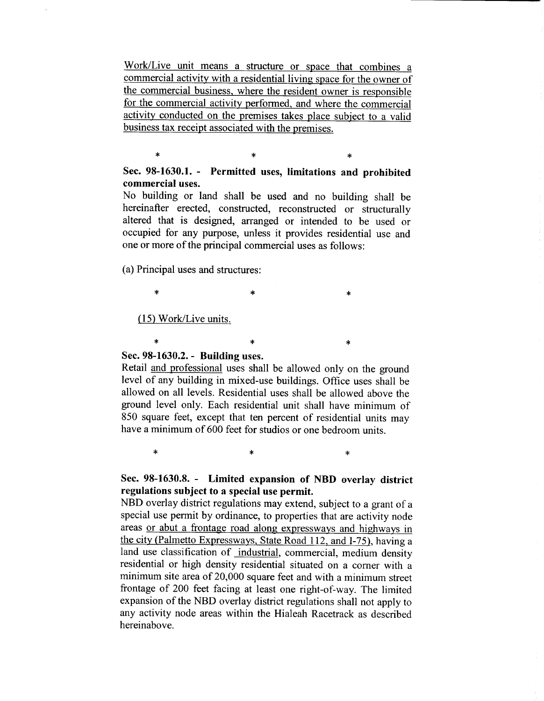Work/Live unit means a structure or space that combines a commercial activity with a residential living space for the owner of the commercial business, where the resident owner is responsible for the commercial activity performed, and where the commercial activity conducted on the premises takes place subject to a valid business tax receipt associated with the premises.

# Sec. 98-1630.1. - Permitted uses, limitations and prohibited commercial uses.

 $\ast$   $\ast$ 

No building or land shall be used and no building shall be hereinafter erected, constructed, reconstructed or structurally altered that is designed, arranged or intended to be used or occupied for any purpose, unless it provides residential use and one or more of the principal commercial uses as follows:

 $*$  \*  $*$ 

(a) Principal uses and structures:

(15) Work/Live units.

#### \*  $*$  \*  $*$ Sec. 98-1630.2.- Building uses.

Retail and professional uses shall be allowed only on the ground level of any building in mixed-use buildings. Office uses shall be allowed on all levels. Residential uses shall be allowed above the ground level only. Each residential unit shall have minimum of 850 square feet, except that ten percent of residential units may have a minimum of 600 feet for studios or one bedroom units.

 $*$  \*  $*$ 

# Sec. 98-1630.8. - Limited expansion of NBD overlay district regulations subject to a special use permit.

NBD overlay district regulations may extend, subject to a grant of <sup>a</sup> special use permit by ordinance, to properties that are activity node areas or abut a frontage road along expressways and highways in the city (Palmetto Expressways, State Road 112, and 1-75), having a land use classification of industrial, commercial, medium density residential or high density residential situated on a comer with a minimum site area of 20,000 square feet and with a minimum street frontage of 200 feet facing at least one right-of-way. The limited expansion of the NBD overlay district regulations shall not apply to any activity node areas within the Hialeah Racetrack as described hereinabove.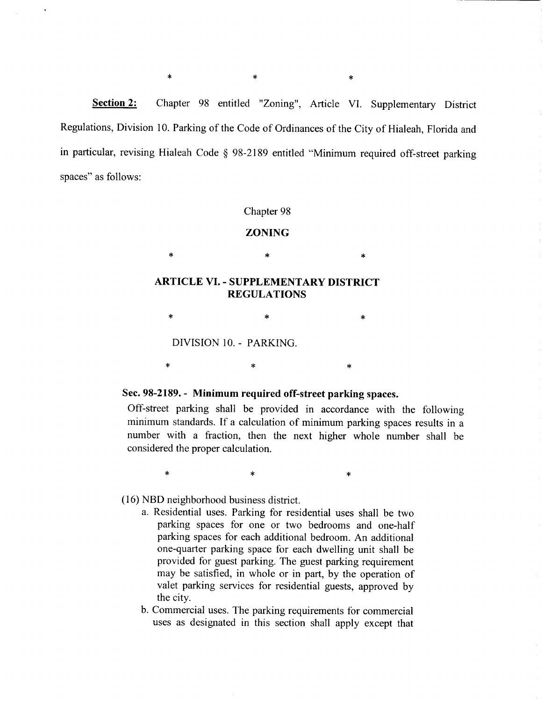**<u>Section 2:</u>** Chapter 98 entitled "Zoning", Article VI. Supplementary District Regulations, Division 10. Parking of the Code of Ordinances of the City of Hialeah, Florida and in particular, revising Hialeah Code § 98-2189 entitled "Minimum required off-street parking spaces" as follows:

#### Chapter 98

### **ZONING**

 $*$  \* \* \* \*

# **ARTICLE** VI. - **SUPPLEMENTARY DISTRICT REGULATIONS**

 $\ast$   $\ast$ 

DIVISION 10. - PARKING.

## Sec. **98-2189.- Minimum required off-street parking** spaces.

 $*$   $*$ 

 $*$  \*  $*$  \*

Off-street parking shall be provided in accordance with the following minimum standards. If a calculation of minimum parking spaces results in a number with a fraction, then the next higher whole number shall be considered the proper calculation.

(16) NBD neighborhood business district.

a. Residential uses. Parking for residential uses shall be two parking spaces for one or two bedrooms and one-half parking spaces for each additional bedroom. An additional one-quarter parking space for each dwelling unit shall be provided for guest parking. The guest parking requirement may be satisfied, in whole or in part, by the operation of valet parking services for residential guests, approved by the city.

b. Commercial uses. The parking requirements for commercial uses as designated in this section shall apply except that

 $*$  \*  $*$  \*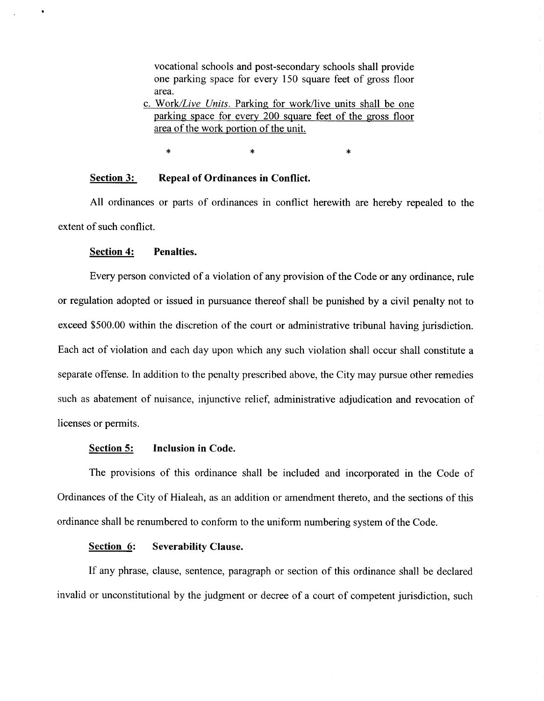vocational schools and post-secondary schools shall provide one parking space for every 150 square feet of gross floor area.

c. *Work/Live Units.* Parking for work/live units shall be one parking space for every 200 square feet of the gross floor area of the work portion of the unit.

 $*$  \*  $*$  \*  $*$ 

#### **Section 3: Repeal of Ordinances in Conflict.**

All ordinances or parts of ordinances in conflict herewith are hereby repealed to the extent of such conflict.

#### **Section 4: Penalties.**

Every person convicted of a violation of any provision of the Code or any ordinance, rule or regulation adopted or issued in pursuance thereof shall be punished by a civil penalty not to exceed \$500.00 within the discretion of the court or administrative tribunal having jurisdiction. Each act of violation and each day upon which any such violation shall occur shall constitute a separate offense. In addition to the penalty prescribed above, the City may pursue other remedies such as abatement of nuisance, injunctive relief, administrative adjudication and revocation of licenses or permits.

#### **Section 5: Inclusion in Code.**

The provisions of this ordinance shall be included and incorporated in the Code of Ordinances of the City of Hialeah, as an addition or amendment thereto, and the sections of this ordinance shall be renumbered to conform to the uniform numbering system of the Code.

# **Section 6: Severability Clause.**

If any phrase, clause, sentence, paragraph or section of this ordinance shall be declared invalid or unconstitutional by the judgment or decree of a court of competent jurisdiction, such